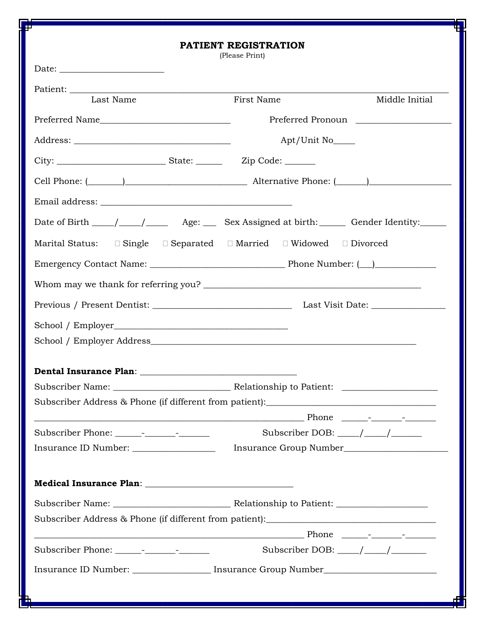| 4<br>PATIENT REGISTRATION                                                                                                                                                                                                      |                                                                                                             |                   |  |  |  |  |  |
|--------------------------------------------------------------------------------------------------------------------------------------------------------------------------------------------------------------------------------|-------------------------------------------------------------------------------------------------------------|-------------------|--|--|--|--|--|
|                                                                                                                                                                                                                                | (Please Print)                                                                                              |                   |  |  |  |  |  |
|                                                                                                                                                                                                                                |                                                                                                             |                   |  |  |  |  |  |
| Last Name                                                                                                                                                                                                                      | First Name                                                                                                  | Middle Initial    |  |  |  |  |  |
|                                                                                                                                                                                                                                |                                                                                                             | Preferred Pronoun |  |  |  |  |  |
|                                                                                                                                                                                                                                | Apt/Unit No                                                                                                 |                   |  |  |  |  |  |
|                                                                                                                                                                                                                                |                                                                                                             |                   |  |  |  |  |  |
|                                                                                                                                                                                                                                |                                                                                                             |                   |  |  |  |  |  |
|                                                                                                                                                                                                                                |                                                                                                             |                   |  |  |  |  |  |
| Date of Birth ____/____/_____ Age: ____ Sex Assigned at birth: ______ Gender Identity: _____                                                                                                                                   |                                                                                                             |                   |  |  |  |  |  |
|                                                                                                                                                                                                                                | Marital Status: $\square$ Single $\square$ Separated $\square$ Married $\square$ Widowed $\square$ Divorced |                   |  |  |  |  |  |
|                                                                                                                                                                                                                                |                                                                                                             |                   |  |  |  |  |  |
|                                                                                                                                                                                                                                |                                                                                                             |                   |  |  |  |  |  |
|                                                                                                                                                                                                                                |                                                                                                             |                   |  |  |  |  |  |
|                                                                                                                                                                                                                                |                                                                                                             |                   |  |  |  |  |  |
|                                                                                                                                                                                                                                |                                                                                                             |                   |  |  |  |  |  |
|                                                                                                                                                                                                                                |                                                                                                             |                   |  |  |  |  |  |
|                                                                                                                                                                                                                                |                                                                                                             |                   |  |  |  |  |  |
|                                                                                                                                                                                                                                |                                                                                                             |                   |  |  |  |  |  |
| Phone that the set of the set of the set of the set of the set of the set of the set of the set of the set of the set of the set of the set of the set of the set of the set of the set of the set of the set of the set of th |                                                                                                             |                   |  |  |  |  |  |
|                                                                                                                                                                                                                                | Subscriber DOB: $\_\_\_\_\_\_\_\_\_\_\_\_\_\_\_\_\_\_\_\_$                                                  |                   |  |  |  |  |  |
| Insurance ID Number: __________________                                                                                                                                                                                        |                                                                                                             |                   |  |  |  |  |  |
|                                                                                                                                                                                                                                |                                                                                                             |                   |  |  |  |  |  |
|                                                                                                                                                                                                                                |                                                                                                             |                   |  |  |  |  |  |
| Subscriber Address & Phone (if different from patient): _________________________                                                                                                                                              |                                                                                                             |                   |  |  |  |  |  |
|                                                                                                                                                                                                                                |                                                                                                             |                   |  |  |  |  |  |
|                                                                                                                                                                                                                                | Subscriber DOB: $\_\_\_\_\_\_\_\_\_\_\_\_\_\_\_\_\_\_\_\_$                                                  |                   |  |  |  |  |  |
| Insurance ID Number: _________________ Insurance Group Number___________________                                                                                                                                               |                                                                                                             |                   |  |  |  |  |  |
|                                                                                                                                                                                                                                |                                                                                                             |                   |  |  |  |  |  |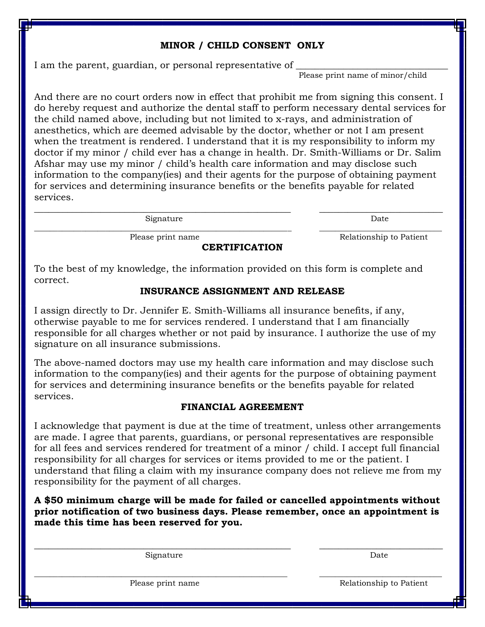## **MINOR / CHILD CONSENT ONLY**

I am the parent, guardian, or personal representative of

Please print name of minor/child

And there are no court orders now in effect that prohibit me from signing this consent. I do hereby request and authorize the dental staff to perform necessary dental services for the child named above, including but not limited to x-rays, and administration of anesthetics, which are deemed advisable by the doctor, whether or not I am present when the treatment is rendered. I understand that it is my responsibility to inform my doctor if my minor / child ever has a change in health. Dr. Smith-Williams or Dr. Salim Afshar may use my minor / child's health care information and may disclose such information to the company(ies) and their agents for the purpose of obtaining payment for services and determining insurance benefits or the benefits payable for related services.

\_\_\_\_\_\_\_\_\_\_\_\_\_\_\_\_\_\_\_\_\_\_\_\_\_\_\_\_\_\_\_\_\_\_\_\_\_\_\_\_\_\_\_\_\_\_\_\_\_\_\_\_\_\_ \_\_\_\_\_\_\_\_\_\_\_\_\_\_\_\_\_\_\_\_\_\_\_\_\_\_

 $\_$  ,  $\_$  ,  $\_$  ,  $\_$  ,  $\_$  ,  $\_$  ,  $\_$  ,  $\_$  ,  $\_$  ,  $\_$  ,  $\_$  ,  $\_$  ,  $\_$  ,  $\_$  ,  $\_$  ,  $\_$  ,  $\_$  ,  $\_$  ,  $\_$  ,  $\_$  ,  $\_$  ,  $\_$  ,  $\_$  ,  $\_$  ,  $\_$  ,  $\_$  ,  $\_$  ,  $\_$  ,  $\_$  ,  $\_$  ,  $\_$  ,  $\_$  ,  $\_$  ,  $\_$  ,  $\_$  ,  $\_$  ,  $\_$  ,

**CERTIFICATION**

Signature Date

Please print name  $\qquad \qquad$  Relationship to Patient

To the best of my knowledge, the information provided on this form is complete and correct.

## **INSURANCE ASSIGNMENT AND RELEASE**

I assign directly to Dr. Jennifer E. Smith-Williams all insurance benefits, if any, otherwise payable to me for services rendered. I understand that I am financially responsible for all charges whether or not paid by insurance. I authorize the use of my signature on all insurance submissions.

The above-named doctors may use my health care information and may disclose such information to the company(ies) and their agents for the purpose of obtaining payment for services and determining insurance benefits or the benefits payable for related services.

## **FINANCIAL AGREEMENT**

I acknowledge that payment is due at the time of treatment, unless other arrangements are made. I agree that parents, guardians, or personal representatives are responsible for all fees and services rendered for treatment of a minor / child. I accept full financial responsibility for all charges for services or items provided to me or the patient. I understand that filing a claim with my insurance company does not relieve me from my responsibility for the payment of all charges.

**A \$50 minimum charge will be made for failed or cancelled appointments without prior notification of two business days. Please remember, once an appointment is made this time has been reserved for you.** 

\_\_\_\_\_\_\_\_\_\_\_\_\_\_\_\_\_\_\_\_\_\_\_\_\_\_\_\_\_\_\_\_\_\_\_\_\_\_\_\_\_\_\_\_\_\_\_\_\_\_\_\_\_\_ \_\_\_\_\_\_\_\_\_\_\_\_\_\_\_\_\_\_\_\_\_\_\_\_\_\_

Signature Date

 $\_$  ,  $\_$  ,  $\_$  ,  $\_$  ,  $\_$  ,  $\_$  ,  $\_$  ,  $\_$  ,  $\_$  ,  $\_$  ,  $\_$  ,  $\_$  ,  $\_$  ,  $\_$  ,  $\_$  ,  $\_$  ,  $\_$  ,  $\_$  ,  $\_$  ,  $\_$  ,  $\_$  ,  $\_$  ,  $\_$  ,  $\_$  ,  $\_$  ,  $\_$  ,  $\_$  ,  $\_$  ,  $\_$  ,  $\_$  ,  $\_$  ,  $\_$  ,  $\_$  ,  $\_$  ,  $\_$  ,  $\_$  ,  $\_$  , Please print name  $\qquad \qquad$  Relationship to Patient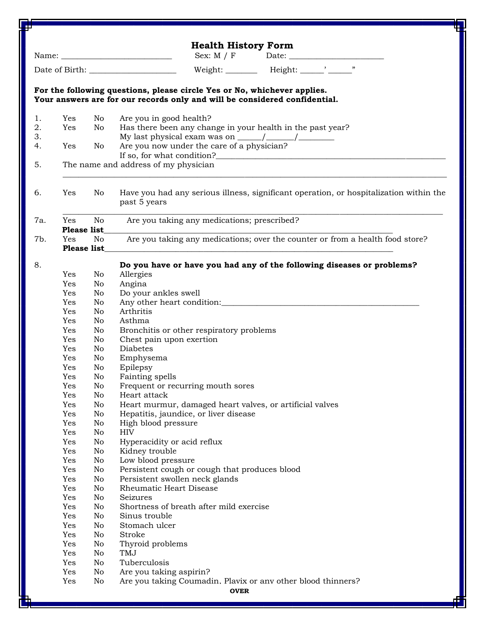| σ        |                            |                                                                                                                                                                                                                                       | ቺ                                                                                                                                                      |  |  |  |  |
|----------|----------------------------|---------------------------------------------------------------------------------------------------------------------------------------------------------------------------------------------------------------------------------------|--------------------------------------------------------------------------------------------------------------------------------------------------------|--|--|--|--|
|          | <b>Health History Form</b> |                                                                                                                                                                                                                                       |                                                                                                                                                        |  |  |  |  |
|          |                            |                                                                                                                                                                                                                                       | Sex: $M / F$                                                                                                                                           |  |  |  |  |
|          |                            |                                                                                                                                                                                                                                       |                                                                                                                                                        |  |  |  |  |
|          |                            |                                                                                                                                                                                                                                       | For the following questions, please circle Yes or No, whichever applies.<br>Your answers are for our records only and will be considered confidential. |  |  |  |  |
|          |                            |                                                                                                                                                                                                                                       |                                                                                                                                                        |  |  |  |  |
| 1.       | Yes                        | No                                                                                                                                                                                                                                    | Are you in good health?                                                                                                                                |  |  |  |  |
| 2.<br>3. | Yes                        | No                                                                                                                                                                                                                                    | Has there been any change in your health in the past year?                                                                                             |  |  |  |  |
| 4.       | Yes                        | No                                                                                                                                                                                                                                    | Are you now under the care of a physician?                                                                                                             |  |  |  |  |
|          |                            | If so, for what condition?<br><u>Letting and the condition</u> of the condition of the condition of the condition of the condition of the condition of the condition of the condition of the condition of the condition of the condit |                                                                                                                                                        |  |  |  |  |
| 5.       |                            |                                                                                                                                                                                                                                       | The name and address of my physician                                                                                                                   |  |  |  |  |
|          |                            |                                                                                                                                                                                                                                       |                                                                                                                                                        |  |  |  |  |
| 6.       | Yes                        | No.                                                                                                                                                                                                                                   | Have you had any serious illness, significant operation, or hospitalization within the<br>past 5 years                                                 |  |  |  |  |
| 7a.      | Yes                        | No<br><b>Please list</b>                                                                                                                                                                                                              | Are you taking any medications; prescribed?                                                                                                            |  |  |  |  |
| 7b.      | Yes                        | No.                                                                                                                                                                                                                                   | Are you taking any medications; over the counter or from a health food store?                                                                          |  |  |  |  |
|          |                            | <b>Please list</b>                                                                                                                                                                                                                    |                                                                                                                                                        |  |  |  |  |
|          |                            |                                                                                                                                                                                                                                       |                                                                                                                                                        |  |  |  |  |
| 8.       |                            |                                                                                                                                                                                                                                       | Do you have or have you had any of the following diseases or problems?                                                                                 |  |  |  |  |
|          | Yes                        | No                                                                                                                                                                                                                                    | Allergies                                                                                                                                              |  |  |  |  |
|          | Yes                        | No                                                                                                                                                                                                                                    | Angina                                                                                                                                                 |  |  |  |  |
|          | Yes                        | No                                                                                                                                                                                                                                    | Do your ankles swell                                                                                                                                   |  |  |  |  |
|          | Yes                        | No                                                                                                                                                                                                                                    |                                                                                                                                                        |  |  |  |  |
|          | Yes                        | No                                                                                                                                                                                                                                    | Arthritis                                                                                                                                              |  |  |  |  |
|          | Yes                        | No                                                                                                                                                                                                                                    | Asthma                                                                                                                                                 |  |  |  |  |
|          | Yes                        | No                                                                                                                                                                                                                                    | Bronchitis or other respiratory problems                                                                                                               |  |  |  |  |
|          | Yes                        | No                                                                                                                                                                                                                                    | Chest pain upon exertion                                                                                                                               |  |  |  |  |
|          | Yes                        | No                                                                                                                                                                                                                                    | <b>Diabetes</b>                                                                                                                                        |  |  |  |  |
|          | Yes                        | No                                                                                                                                                                                                                                    | Emphysema                                                                                                                                              |  |  |  |  |
|          | Yes                        | No                                                                                                                                                                                                                                    | Epilepsy                                                                                                                                               |  |  |  |  |
|          | Yes                        | No                                                                                                                                                                                                                                    | Fainting spells                                                                                                                                        |  |  |  |  |
|          | Yes                        | No                                                                                                                                                                                                                                    | Frequent or recurring mouth sores                                                                                                                      |  |  |  |  |
|          | Yes                        | No                                                                                                                                                                                                                                    | Heart attack                                                                                                                                           |  |  |  |  |
|          | Yes                        | No                                                                                                                                                                                                                                    | Heart murmur, damaged heart valves, or artificial valves                                                                                               |  |  |  |  |
|          | Yes                        | No                                                                                                                                                                                                                                    | Hepatitis, jaundice, or liver disease                                                                                                                  |  |  |  |  |
|          | Yes                        | No                                                                                                                                                                                                                                    | High blood pressure                                                                                                                                    |  |  |  |  |
|          | Yes                        | No                                                                                                                                                                                                                                    | <b>HIV</b>                                                                                                                                             |  |  |  |  |
|          | Yes                        | No                                                                                                                                                                                                                                    | Hyperacidity or acid reflux                                                                                                                            |  |  |  |  |
|          | Yes                        | No                                                                                                                                                                                                                                    | Kidney trouble                                                                                                                                         |  |  |  |  |
|          | Yes                        | No                                                                                                                                                                                                                                    | Low blood pressure                                                                                                                                     |  |  |  |  |
|          | Yes                        | No                                                                                                                                                                                                                                    | Persistent cough or cough that produces blood                                                                                                          |  |  |  |  |
|          | Yes                        | No                                                                                                                                                                                                                                    | Persistent swollen neck glands                                                                                                                         |  |  |  |  |
|          | Yes                        | No                                                                                                                                                                                                                                    | Rheumatic Heart Disease                                                                                                                                |  |  |  |  |
|          | Yes                        | No                                                                                                                                                                                                                                    | Seizures                                                                                                                                               |  |  |  |  |
|          | Yes                        | No                                                                                                                                                                                                                                    | Shortness of breath after mild exercise                                                                                                                |  |  |  |  |
|          | Yes                        | No                                                                                                                                                                                                                                    | Sinus trouble                                                                                                                                          |  |  |  |  |
|          | Yes                        | No                                                                                                                                                                                                                                    | Stomach ulcer                                                                                                                                          |  |  |  |  |
|          | Yes                        | No                                                                                                                                                                                                                                    | Stroke                                                                                                                                                 |  |  |  |  |
|          | Yes                        | No                                                                                                                                                                                                                                    | Thyroid problems                                                                                                                                       |  |  |  |  |
|          | Yes                        | No                                                                                                                                                                                                                                    | TMJ                                                                                                                                                    |  |  |  |  |
|          | Yes                        | No                                                                                                                                                                                                                                    | Tuberculosis                                                                                                                                           |  |  |  |  |
|          | Yes                        | No                                                                                                                                                                                                                                    | Are you taking aspirin?                                                                                                                                |  |  |  |  |
|          | Yes                        | No                                                                                                                                                                                                                                    | Are you taking Coumadin. Plavix or any other blood thinners?                                                                                           |  |  |  |  |
|          | <b>OVER</b>                |                                                                                                                                                                                                                                       |                                                                                                                                                        |  |  |  |  |